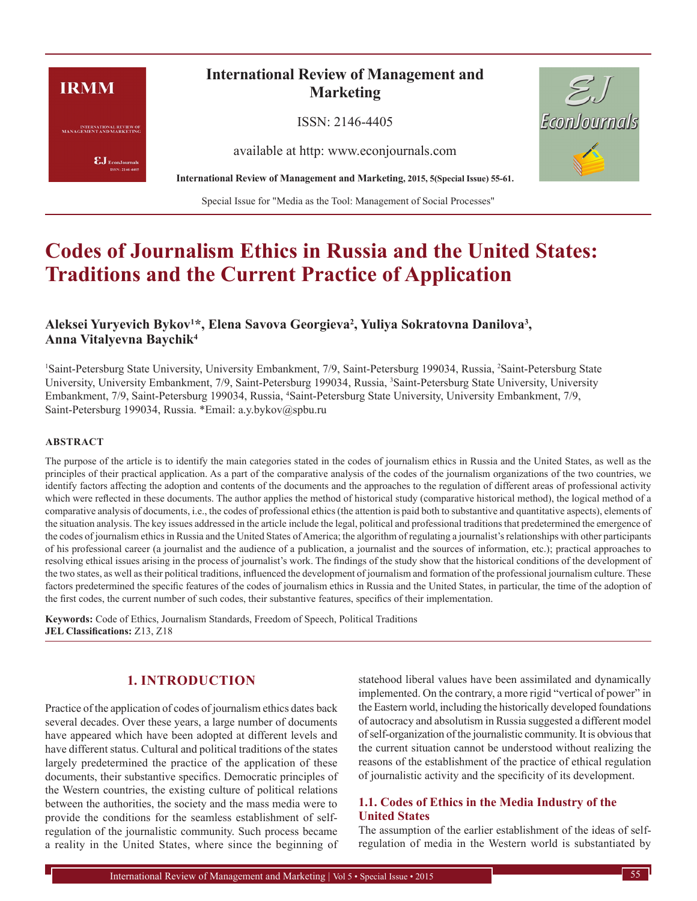# **IRMM**

**INTERNATIONAL REVIEW OF**<br>MANAGEMENT AND MARKETING

 $\pmb{\text{EJ}}$ EconJournals SSN: 2146-4405

## **International Review of Management and Marketing**

ISSN: 2146-4405

available at http: www.econjournals.com

**International Review of Management and Marketing, 2015, 5(Special Issue) 55-61.**

Special Issue for "Media as the Tool: Management of Social Processes"



# **Codes of Journalism Ethics in Russia and the United States: Traditions and the Current Practice of Application**

## Aleksei Yuryevich Bykov<sup>1\*</sup>, Elena Savova Georgieva<sup>2</sup>, Yuliya Sokratovna Danilova<sup>3</sup>, **Anna Vitalyevna Baychik4**

<sup>1</sup>Saint-Petersburg State University, University Embankment, 7/9, Saint-Petersburg 199034, Russia, <sup>2</sup>Saint-Petersburg State University, University Embankment, 7/9, Saint-Petersburg 199034, Russia, <sup>3</sup>Saint-Petersburg State University, University Embankment, 7/9, Saint-Petersburg 199034, Russia, 4 Saint-Petersburg State University, University Embankment, 7/9, Saint-Petersburg 199034, Russia. \*Email: a.y.bykov@spbu.ru

#### **ABSTRACT**

The purpose of the article is to identify the main categories stated in the codes of journalism ethics in Russia and the United States, as well as the principles of their practical application. As a part of the comparative analysis of the codes of the journalism organizations of the two countries, we identify factors affecting the adoption and contents of the documents and the approaches to the regulation of different areas of professional activity which were reflected in these documents. The author applies the method of historical study (comparative historical method), the logical method of a comparative analysis of documents, i.e., the codes of professional ethics (the attention is paid both to substantive and quantitative aspects), elements of the situation analysis. The key issues addressed in the article include the legal, political and professional traditions that predetermined the emergence of the codes of journalism ethics in Russia and the United States of America; the algorithm of regulating a journalist's relationships with other participants of his professional career (a journalist and the audience of a publication, a journalist and the sources of information, etc.); practical approaches to resolving ethical issues arising in the process of journalist's work. The findings of the study show that the historical conditions of the development of the two states, as well as their political traditions, influenced the development of journalism and formation of the professional journalism culture. These factors predetermined the specific features of the codes of journalism ethics in Russia and the United States, in particular, the time of the adoption of the first codes, the current number of such codes, their substantive features, specifics of their implementation.

**Keywords:** Code of Ethics, Journalism Standards, Freedom of Speech, Political Traditions **JEL Classifications:** Z13, Z18

## **1. INTRODUCTION**

Practice of the application of codes of journalism ethics dates back several decades. Over these years, a large number of documents have appeared which have been adopted at different levels and have different status. Cultural and political traditions of the states largely predetermined the practice of the application of these documents, their substantive specifics. Democratic principles of the Western countries, the existing culture of political relations between the authorities, the society and the mass media were to provide the conditions for the seamless establishment of selfregulation of the journalistic community. Such process became a reality in the United States, where since the beginning of statehood liberal values have been assimilated and dynamically implemented. On the contrary, a more rigid "vertical of power" in the Eastern world, including the historically developed foundations of autocracy and absolutism in Russia suggested a different model of self-organization of the journalistic community. It is obvious that the current situation cannot be understood without realizing the reasons of the establishment of the practice of ethical regulation of journalistic activity and the specificity of its development.

#### **1.1. Codes of Ethics in the Media Industry of the United States**

The assumption of the earlier establishment of the ideas of selfregulation of media in the Western world is substantiated by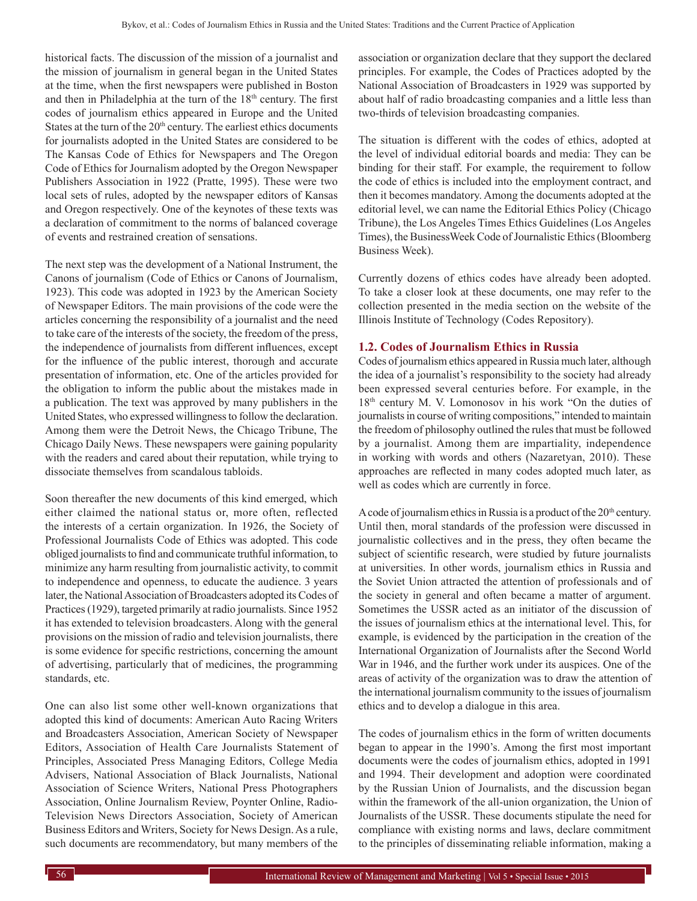historical facts. The discussion of the mission of a journalist and the mission of journalism in general began in the United States at the time, when the first newspapers were published in Boston and then in Philadelphia at the turn of the 18<sup>th</sup> century. The first codes of journalism ethics appeared in Europe and the United States at the turn of the 20<sup>th</sup> century. The earliest ethics documents for journalists adopted in the United States are considered to be The Kansas Code of Ethics for Newspapers and The Oregon Code of Ethics for Journalism adopted by the Oregon Newspaper Publishers Association in 1922 (Pratte, 1995). These were two local sets of rules, adopted by the newspaper editors of Kansas and Oregon respectively. One of the keynotes of these texts was a declaration of commitment to the norms of balanced coverage of events and restrained creation of sensations.

The next step was the development of a National Instrument, the Canons of journalism (Code of Ethics or Canons of Journalism, 1923). This code was adopted in 1923 by the American Society of Newspaper Editors. The main provisions of the code were the articles concerning the responsibility of a journalist and the need to take care of the interests of the society, the freedom of the press, the independence of journalists from different influences, except for the influence of the public interest, thorough and accurate presentation of information, etc. One of the articles provided for the obligation to inform the public about the mistakes made in a publication. The text was approved by many publishers in the United States, who expressed willingness to follow the declaration. Among them were the Detroit News, the Chicago Tribune, The Chicago Daily News. These newspapers were gaining popularity with the readers and cared about their reputation, while trying to dissociate themselves from scandalous tabloids.

Soon thereafter the new documents of this kind emerged, which either claimed the national status or, more often, reflected the interests of a certain organization. In 1926, the Society of Professional Journalists Code of Ethics was adopted. This code obliged journalists to find and communicate truthful information, to minimize any harm resulting from journalistic activity, to commit to independence and openness, to educate the audience. 3 years later, the National Association of Broadcasters adopted its Codes of Practices (1929), targeted primarily at radio journalists. Since 1952 it has extended to television broadcasters. Along with the general provisions on the mission of radio and television journalists, there is some evidence for specific restrictions, concerning the amount of advertising, particularly that of medicines, the programming standards, etc.

One can also list some other well-known organizations that adopted this kind of documents: American Auto Racing Writers and Broadcasters Association, American Society of Newspaper Editors, Association of Health Care Journalists Statement of Principles, Associated Press Managing Editors, College Media Advisers, National Association of Black Journalists, National Association of Science Writers, National Press Photographers Association, Online Journalism Review, Poynter Online, Radio-Television News Directors Association, Society of American Business Editors and Writers, Society for News Design. As a rule, such documents are recommendatory, but many members of the association or organization declare that they support the declared principles. For example, the Codes of Practices adopted by the National Association of Broadcasters in 1929 was supported by about half of radio broadcasting companies and a little less than two-thirds of television broadcasting companies.

The situation is different with the codes of ethics, adopted at the level of individual editorial boards and media: They can be binding for their staff. For example, the requirement to follow the code of ethics is included into the employment contract, and then it becomes mandatory. Among the documents adopted at the editorial level, we can name the Editorial Ethics Policy (Chicago Tribune), the Los Angeles Times Ethics Guidelines (Los Angeles Times), the BusinessWeek Code of Journalistic Ethics (Bloomberg Business Week).

Currently dozens of ethics codes have already been adopted. To take a closer look at these documents, one may refer to the collection presented in the media section on the website of the Illinois Institute of Technology (Codes Repository).

#### **1.2. Codes of Journalism Ethics in Russia**

Codes of journalism ethics appeared in Russia much later, although the idea of a journalist's responsibility to the society had already been expressed several centuries before. For example, in the  $18<sup>th</sup>$  century M. V. Lomonosov in his work "On the duties of journalists in course of writing compositions," intended to maintain the freedom of philosophy outlined the rules that must be followed by a journalist. Among them are impartiality, independence in working with words and others (Nazaretyan, 2010). These approaches are reflected in many codes adopted much later, as well as codes which are currently in force.

A code of journalism ethics in Russia is a product of the  $20<sup>th</sup>$  century. Until then, moral standards of the profession were discussed in journalistic collectives and in the press, they often became the subject of scientific research, were studied by future journalists at universities. In other words, journalism ethics in Russia and the Soviet Union attracted the attention of professionals and of the society in general and often became a matter of argument. Sometimes the USSR acted as an initiator of the discussion of the issues of journalism ethics at the international level. This, for example, is evidenced by the participation in the creation of the International Organization of Journalists after the Second World War in 1946, and the further work under its auspices. One of the areas of activity of the organization was to draw the attention of the international journalism community to the issues of journalism ethics and to develop a dialogue in this area.

The codes of journalism ethics in the form of written documents began to appear in the 1990's. Among the first most important documents were the codes of journalism ethics, adopted in 1991 and 1994. Their development and adoption were coordinated by the Russian Union of Journalists, and the discussion began within the framework of the all-union organization, the Union of Journalists of the USSR. These documents stipulate the need for compliance with existing norms and laws, declare commitment to the principles of disseminating reliable information, making a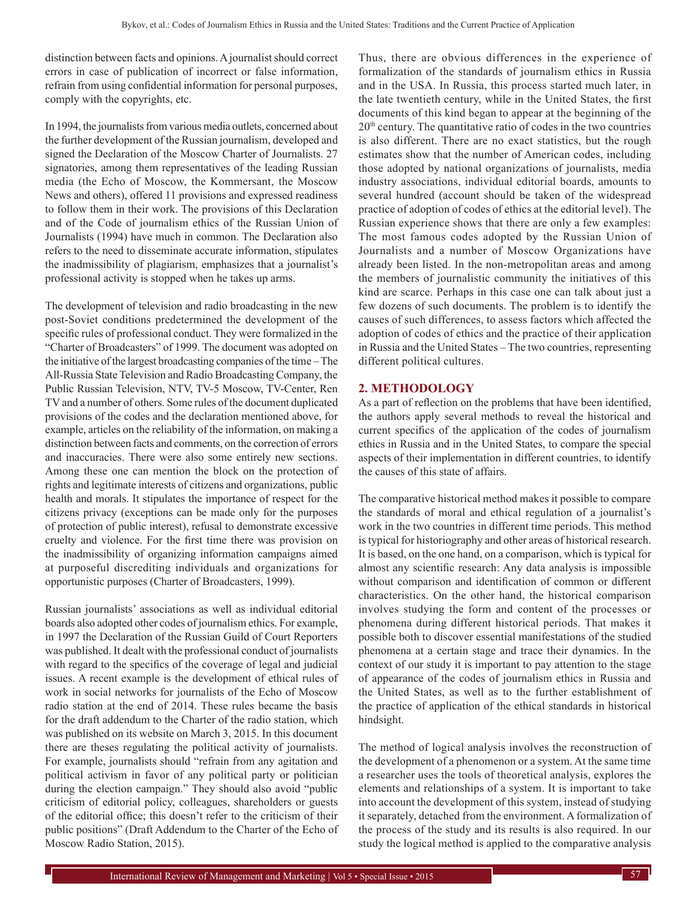distinction between facts and opinions. A journalist should correct errors in case of publication of incorrect or false information, refrain from using confidential information for personal purposes, comply with the copyrights, etc.

In 1994, the journalists from various media outlets, concerned about the further development of the Russian journalism, developed and signed the Declaration of the Moscow Charter of Journalists. 27 signatories, among them representatives of the leading Russian media (the Echo of Moscow, the Kommersant, the Moscow News and others), offered 11 provisions and expressed readiness to follow them in their work. The provisions of this Declaration and of the Code of journalism ethics of the Russian Union of Journalists (1994) have much in common. The Declaration also refers to the need to disseminate accurate information, stipulates the inadmissibility of plagiarism, emphasizes that a journalist's professional activity is stopped when he takes up arms.

The development of television and radio broadcasting in the new post-Soviet conditions predetermined the development of the specific rules of professional conduct. They were formalized in the "Charter of Broadcasters" of 1999. The document was adopted on the initiative of the largest broadcasting companies of the time – The All-Russia State Television and Radio Broadcasting Company, the Public Russian Television, NTV, TV-5 Moscow, TV-Center, Ren TV and a number of others. Some rules of the document duplicated provisions of the codes and the declaration mentioned above, for example, articles on the reliability of the information, on making a distinction between facts and comments, on the correction of errors and inaccuracies. There were also some entirely new sections. Among these one can mention the block on the protection of rights and legitimate interests of citizens and organizations, public health and morals. It stipulates the importance of respect for the citizens privacy (exceptions can be made only for the purposes of protection of public interest), refusal to demonstrate excessive cruelty and violence. For the first time there was provision on the inadmissibility of organizing information campaigns aimed at purposeful discrediting individuals and organizations for opportunistic purposes (Charter of Broadcasters, 1999).

Russian journalists' associations as well as individual editorial boards also adopted other codes of journalism ethics. For example, in 1997 the Declaration of the Russian Guild of Court Reporters was published. It dealt with the professional conduct of journalists with regard to the specifics of the coverage of legal and judicial issues. A recent example is the development of ethical rules of work in social networks for journalists of the Echo of Moscow radio station at the end of 2014. These rules became the basis for the draft addendum to the Charter of the radio station, which was published on its website on March 3, 2015. In this document there are theses regulating the political activity of journalists. For example, journalists should "refrain from any agitation and political activism in favor of any political party or politician during the election campaign." They should also avoid "public criticism of editorial policy, colleagues, shareholders or guests of the editorial office; this doesn't refer to the criticism of their public positions" (Draft Addendum to the Charter of the Echo of Moscow Radio Station, 2015).

Thus, there are obvious differences in the experience of formalization of the standards of journalism ethics in Russia and in the USA. In Russia, this process started much later, in the late twentieth century, while in the United States, the first documents of this kind began to appear at the beginning of the  $20<sup>th</sup>$  century. The quantitative ratio of codes in the two countries is also different. There are no exact statistics, but the rough estimates show that the number of American codes, including those adopted by national organizations of journalists, media industry associations, individual editorial boards, amounts to several hundred (account should be taken of the widespread practice of adoption of codes of ethics at the editorial level). The Russian experience shows that there are only a few examples: The most famous codes adopted by the Russian Union of Journalists and a number of Moscow Organizations have already been listed. In the non-metropolitan areas and among the members of journalistic community the initiatives of this kind are scarce. Perhaps in this case one can talk about just a few dozens of such documents. The problem is to identify the causes of such differences, to assess factors which affected the adoption of codes of ethics and the practice of their application in Russia and the United States – The two countries, representing different political cultures.

#### **2. METHODOLOGY**

As a part of reflection on the problems that have been identified, the authors apply several methods to reveal the historical and current specifics of the application of the codes of journalism ethics in Russia and in the United States, to compare the special aspects of their implementation in different countries, to identify the causes of this state of affairs.

The comparative historical method makes it possible to compare the standards of moral and ethical regulation of a journalist's work in the two countries in different time periods. This method is typical for historiography and other areas of historical research. It is based, on the one hand, on a comparison, which is typical for almost any scientific research: Any data analysis is impossible without comparison and identification of common or different characteristics. On the other hand, the historical comparison involves studying the form and content of the processes or phenomena during different historical periods. That makes it possible both to discover essential manifestations of the studied phenomena at a certain stage and trace their dynamics. In the context of our study it is important to pay attention to the stage of appearance of the codes of journalism ethics in Russia and the United States, as well as to the further establishment of the practice of application of the ethical standards in historical hindsight.

The method of logical analysis involves the reconstruction of the development of a phenomenon or a system. At the same time a researcher uses the tools of theoretical analysis, explores the elements and relationships of a system. It is important to take into account the development of this system, instead of studying it separately, detached from the environment. A formalization of the process of the study and its results is also required. In our study the logical method is applied to the comparative analysis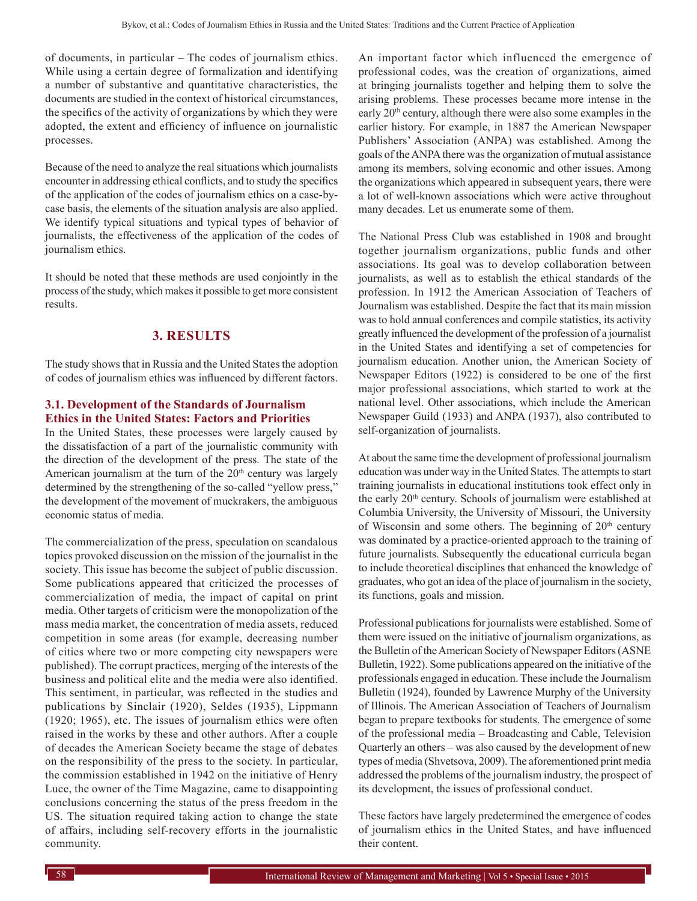of documents, in particular – The codes of journalism ethics. While using a certain degree of formalization and identifying a number of substantive and quantitative characteristics, the documents are studied in the context of historical circumstances, the specifics of the activity of organizations by which they were adopted, the extent and efficiency of influence on journalistic processes.

Because of the need to analyze the real situations which journalists encounter in addressing ethical conflicts, and to study the specifics of the application of the codes of journalism ethics on a case-bycase basis, the elements of the situation analysis are also applied. We identify typical situations and typical types of behavior of journalists, the effectiveness of the application of the codes of journalism ethics.

It should be noted that these methods are used conjointly in the process of the study, which makes it possible to get more consistent results.

#### **3. RESULTS**

The study shows that in Russia and the United States the adoption of codes of journalism ethics was influenced by different factors.

#### **3.1. Development of the Standards of Journalism Ethics in the United States: Factors and Priorities**

In the United States, these processes were largely caused by the dissatisfaction of a part of the journalistic community with the direction of the development of the press*.* The state of the American journalism at the turn of the  $20<sup>th</sup>$  century was largely determined by the strengthening of the so-called "yellow press," the development of the movement of muckrakers, the ambiguous economic status of media.

The commercialization of the press, speculation on scandalous topics provoked discussion on the mission of the journalist in the society. This issue has become the subject of public discussion. Some publications appeared that criticized the processes of commercialization of media, the impact of capital on print media. Other targets of criticism were the monopolization of the mass media market, the concentration of media assets, reduced competition in some areas (for example, decreasing number of cities where two or more competing city newspapers were published). The corrupt practices, merging of the interests of the business and political elite and the media were also identified. This sentiment, in particular, was reflected in the studies and publications by Sinclair (1920), Seldes (1935), Lippmann (1920; 1965), etc. The issues of journalism ethics were often raised in the works by these and other authors. After a couple of decades the American Society became the stage of debates on the responsibility of the press to the society. In particular, the commission established in 1942 on the initiative of Henry Luce, the owner of the Time Magazine, came to disappointing conclusions concerning the status of the press freedom in the US. The situation required taking action to change the state of affairs, including self-recovery efforts in the journalistic community.

An important factor which influenced the emergence of professional codes, was the creation of organizations, aimed at bringing journalists together and helping them to solve the arising problems. These processes became more intense in the early 20<sup>th</sup> century, although there were also some examples in the earlier history. For example, in 1887 the American Newspaper Publishers' Association (ANPA) was established. Among the goals of the ANPA there was the organization of mutual assistance among its members, solving economic and other issues. Among the organizations which appeared in subsequent years, there were a lot of well-known associations which were active throughout many decades. Let us enumerate some of them.

The National Press Club was established in 1908 and brought together journalism organizations, public funds and other associations. Its goal was to develop collaboration between journalists, as well as to establish the ethical standards of the profession. In 1912 the American Association of Teachers of Journalism was established. Despite the fact that its main mission was to hold annual conferences and compile statistics, its activity greatly influenced the development of the profession of a journalist in the United States and identifying a set of competencies for journalism education. Another union, the American Society of Newspaper Editors (1922) is considered to be one of the first major professional associations, which started to work at the national level. Other associations, which include the American Newspaper Guild (1933) and ANPA (1937), also contributed to self-organization of journalists.

At about the same time the development of professional journalism education was under way in the United States*.* The attempts to start training journalists in educational institutions took effect only in the early 20<sup>th</sup> century. Schools of journalism were established at Columbia University, the University of Missouri, the University of Wisconsin and some others. The beginning of  $20<sup>th</sup>$  century was dominated by a practice-oriented approach to the training of future journalists. Subsequently the educational curricula began to include theoretical disciplines that enhanced the knowledge of graduates, who got an idea of the place of journalism in the society, its functions, goals and mission.

Professional publications for journalists were established. Some of them were issued on the initiative of journalism organizations, as the Bulletin of the American Society of Newspaper Editors (ASNE Bulletin, 1922). Some publications appeared on the initiative of the professionals engaged in education. These include the Journalism Bulletin (1924), founded by Lawrence Murphy of the University of Illinois. The American Association of Teachers of Journalism began to prepare textbooks for students. The emergence of some of the professional media – Broadcasting and Cable, Television Quarterly an others – was also caused by the development of new types of media (Shvetsova, 2009). The aforementioned print media addressed the problems of the journalism industry, the prospect of its development, the issues of professional conduct.

These factors have largely predetermined the emergence of codes of journalism ethics in the United States, and have influenced their content.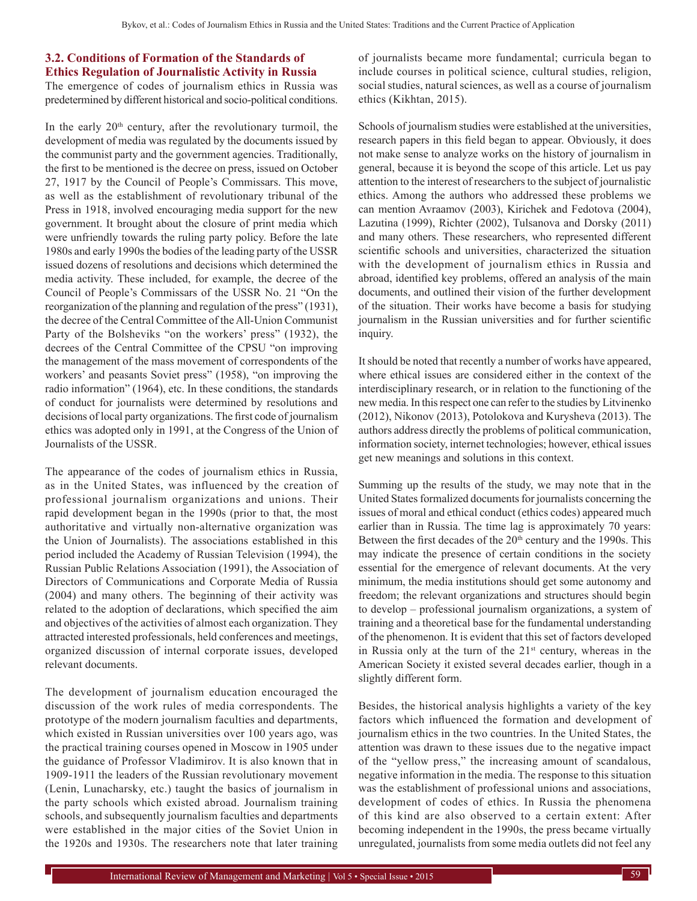#### **3.2. Conditions of Formation of the Standards of Ethics Regulation of Journalistic Activity in Russia**

The emergence of codes of journalism ethics in Russia was predetermined by different historical and socio-political conditions.

In the early  $20<sup>th</sup>$  century, after the revolutionary turmoil, the development of media was regulated by the documents issued by the communist party and the government agencies. Traditionally, the first to be mentioned is the decree on press, issued on October 27, 1917 by the Council of People's Commissars. This move, as well as the establishment of revolutionary tribunal of the Press in 1918, involved encouraging media support for the new government. It brought about the closure of print media which were unfriendly towards the ruling party policy. Before the late 1980s and early 1990s the bodies of the leading party of the USSR issued dozens of resolutions and decisions which determined the media activity. These included, for example, the decree of the Council of People's Commissars of the USSR No. 21 "On the reorganization of the planning and regulation of the press" (1931), the decree of the Central Committee of the All-Union Communist Party of the Bolsheviks "on the workers' press" (1932), the decrees of the Central Committee of the CPSU "on improving the management of the mass movement of correspondents of the workers' and peasants Soviet press" (1958), "on improving the radio information" (1964), etc. In these conditions, the standards of conduct for journalists were determined by resolutions and decisions of local party organizations. The first code of journalism ethics was adopted only in 1991, at the Congress of the Union of Journalists of the USSR.

The appearance of the codes of journalism ethics in Russia, as in the United States, was influenced by the creation of professional journalism organizations and unions. Their rapid development began in the 1990s (prior to that, the most authoritative and virtually non-alternative organization was the Union of Journalists). The associations established in this period included the Academy of Russian Television (1994), the Russian Public Relations Association (1991), the Association of Directors of Communications and Corporate Media of Russia (2004) and many others. The beginning of their activity was related to the adoption of declarations, which specified the aim and objectives of the activities of almost each organization. They attracted interested professionals, held conferences and meetings, organized discussion of internal corporate issues, developed relevant documents.

The development of journalism education encouraged the discussion of the work rules of media correspondents. The prototype of the modern journalism faculties and departments, which existed in Russian universities over 100 years ago, was the practical training courses opened in Moscow in 1905 under the guidance of Professor Vladimirov. It is also known that in 1909-1911 the leaders of the Russian revolutionary movement (Lenin, Lunacharsky, etc.) taught the basics of journalism in the party schools which existed abroad. Journalism training schools, and subsequently journalism faculties and departments were established in the major cities of the Soviet Union in the 1920s and 1930s. The researchers note that later training of journalists became more fundamental; curricula began to include courses in political science, cultural studies, religion, social studies, natural sciences, as well as a course of journalism ethics (Kikhtan, 2015).

Schools of journalism studies were established at the universities, research papers in this field began to appear. Obviously, it does not make sense to analyze works on the history of journalism in general, because it is beyond the scope of this article. Let us pay attention to the interest of researchers to the subject of journalistic ethics. Among the authors who addressed these problems we can mention Avraamov (2003), Kirichek and Fedotova (2004), Lazutina (1999), Richter (2002), Tulsanova and Dorsky (2011) and many others. These researchers, who represented different scientific schools and universities, characterized the situation with the development of journalism ethics in Russia and abroad, identified key problems, offered an analysis of the main documents, and outlined their vision of the further development of the situation. Their works have become a basis for studying journalism in the Russian universities and for further scientific inquiry.

It should be noted that recently a number of works have appeared, where ethical issues are considered either in the context of the interdisciplinary research, or in relation to the functioning of the new media. In this respect one can refer to the studies by Litvinenko (2012), Nikonov (2013), Potolokova and Kurysheva (2013). The authors address directly the problems of political communication, information society, internet technologies; however, ethical issues get new meanings and solutions in this context.

Summing up the results of the study, we may note that in the United States formalized documents for journalists concerning the issues of moral and ethical conduct (ethics codes) appeared much earlier than in Russia. The time lag is approximately 70 years: Between the first decades of the 20<sup>th</sup> century and the 1990s. This may indicate the presence of certain conditions in the society essential for the emergence of relevant documents. At the very minimum, the media institutions should get some autonomy and freedom; the relevant organizations and structures should begin to develop – professional journalism organizations, a system of training and a theoretical base for the fundamental understanding of the phenomenon. It is evident that this set of factors developed in Russia only at the turn of the  $21<sup>st</sup>$  century, whereas in the American Society it existed several decades earlier, though in a slightly different form.

Besides, the historical analysis highlights a variety of the key factors which influenced the formation and development of journalism ethics in the two countries. In the United States, the attention was drawn to these issues due to the negative impact of the "yellow press," the increasing amount of scandalous, negative information in the media. The response to this situation was the establishment of professional unions and associations, development of codes of ethics. In Russia the phenomena of this kind are also observed to a certain extent: After becoming independent in the 1990s, the press became virtually unregulated, journalists from some media outlets did not feel any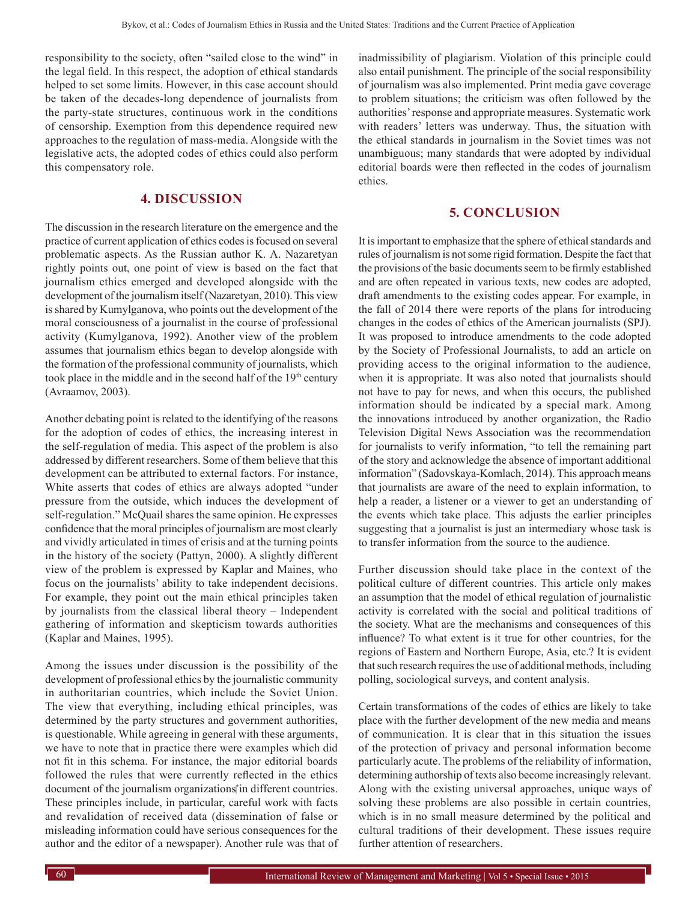responsibility to the society, often "sailed close to the wind" in the legal field. In this respect, the adoption of ethical standards helped to set some limits. However, in this case account should be taken of the decades-long dependence of journalists from the party-state structures, continuous work in the conditions of censorship. Exemption from this dependence required new approaches to the regulation of mass-media. Alongside with the legislative acts, the adopted codes of ethics could also perform this compensatory role.

## **4. DISCUSSION**

The discussion in the research literature on the emergence and the practice of current application of ethics codes is focused on several problematic aspects. As the Russian author K. A. Nazaretyan rightly points out, one point of view is based on the fact that journalism ethics emerged and developed alongside with the development of the journalism itself (Nazaretyan, 2010). This view is shared by Kumylganova, who points out the development of the moral consciousness of a journalist in the course of professional activity (Kumylganova, 1992). Another view of the problem assumes that journalism ethics began to develop alongside with the formation of the professional community of journalists, which took place in the middle and in the second half of the 19<sup>th</sup> century (Avraamov, 2003).

Another debating point is related to the identifying of the reasons for the adoption of codes of ethics, the increasing interest in the self-regulation of media. This aspect of the problem is also addressed by different researchers. Some of them believe that this development can be attributed to external factors. For instance, White asserts that codes of ethics are always adopted "under pressure from the outside, which induces the development of self-regulation." McQuail shares the same opinion. He expresses confidence that the moral principles of journalism are most clearly and vividly articulated in times of crisis and at the turning points in the history of the society (Pattyn, 2000). A slightly different view of the problem is expressed by Kaplar and Maines, who focus on the journalists' ability to take independent decisions. For example, they point out the main ethical principles taken by journalists from the classical liberal theory – Independent gathering of information and skepticism towards authorities (Kaplar and Maines, 1995).

Among the issues under discussion is the possibility of the development of professional ethics by the journalistic community in authoritarian countries, which include the Soviet Union. The view that everything, including ethical principles, was determined by the party structures and government authorities, is questionable. While agreeing in general with these arguments, we have to note that in practice there were examples which did not fit in this schema. For instance, the major editorial boards followed the rules that were currently reflected in the ethics document of the journalism organizations in different countries. These principles include, in particular, careful work with facts and revalidation of received data (dissemination of false or misleading information could have serious consequences for the author and the editor of a newspaper). Another rule was that of inadmissibility of plagiarism. Violation of this principle could also entail punishment. The principle of the social responsibility of journalism was also implemented. Print media gave coverage to problem situations; the criticism was often followed by the authorities' response and appropriate measures. Systematic work with readers' letters was underway. Thus, the situation with the ethical standards in journalism in the Soviet times was not unambiguous; many standards that were adopted by individual editorial boards were then reflected in the codes of journalism ethics.

## **5. CONCLUSION**

It is important to emphasize that the sphere of ethical standards and rules of journalism is not some rigid formation. Despite the fact that the provisions of the basic documents seem to be firmly established and are often repeated in various texts, new codes are adopted, draft amendments to the existing codes appear. For example, in the fall of 2014 there were reports of the plans for introducing changes in the codes of ethics of the American journalists (SPJ). It was proposed to introduce amendments to the code adopted by the Society of Professional Journalists, to add an article on providing access to the original information to the audience, when it is appropriate. It was also noted that journalists should not have to pay for news, and when this occurs, the published information should be indicated by a special mark. Among the innovations introduced by another organization, the Radio Television Digital News Association was the recommendation for journalists to verify information, "to tell the remaining part of the story and acknowledge the absence of important additional information" (Sadovskaya-Komlach, 2014). This approach means that journalists are aware of the need to explain information, to help a reader, a listener or a viewer to get an understanding of the events which take place. This adjusts the earlier principles suggesting that a journalist is just an intermediary whose task is to transfer information from the source to the audience.

Further discussion should take place in the context of the political culture of different countries. This article only makes an assumption that the model of ethical regulation of journalistic activity is correlated with the social and political traditions of the society. What are the mechanisms and consequences of this influence? To what extent is it true for other countries, for the regions of Eastern and Northern Europe, Asia, etc.? It is evident that such research requires the use of additional methods, including polling, sociological surveys, and content analysis.

Certain transformations of the codes of ethics are likely to take place with the further development of the new media and means of communication. It is clear that in this situation the issues of the protection of privacy and personal information become particularly acute. The problems of the reliability of information, determining authorship of texts also become increasingly relevant. Along with the existing universal approaches, unique ways of solving these problems are also possible in certain countries, which is in no small measure determined by the political and cultural traditions of their development. These issues require further attention of researchers.